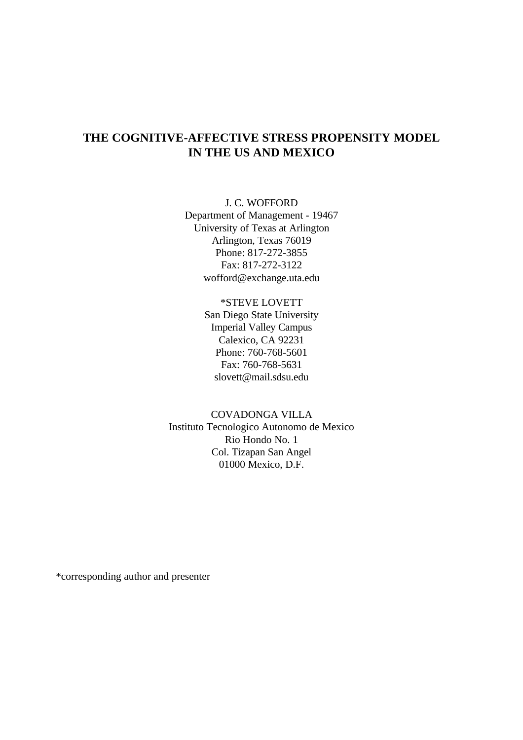## **THE COGNITIVE-AFFECTIVE STRESS PROPENSITY MODEL IN THE US AND MEXICO**

J. C. WOFFORD Department of Management - 19467 University of Texas at Arlington Arlington, Texas 76019 Phone: 817-272-3855 Fax: 817-272-3122 wofford@exchange.uta.edu

### \*STEVE LOVETT

San Diego State University Imperial Valley Campus Calexico, CA 92231 Phone: 760-768-5601 Fax: 760-768-5631 slovett@mail.sdsu.edu

### COVADONGA VILLA

Instituto Tecnologico Autonomo de Mexico Rio Hondo No. 1 Col. Tizapan San Angel 01000 Mexico, D.F.

\*corresponding author and presenter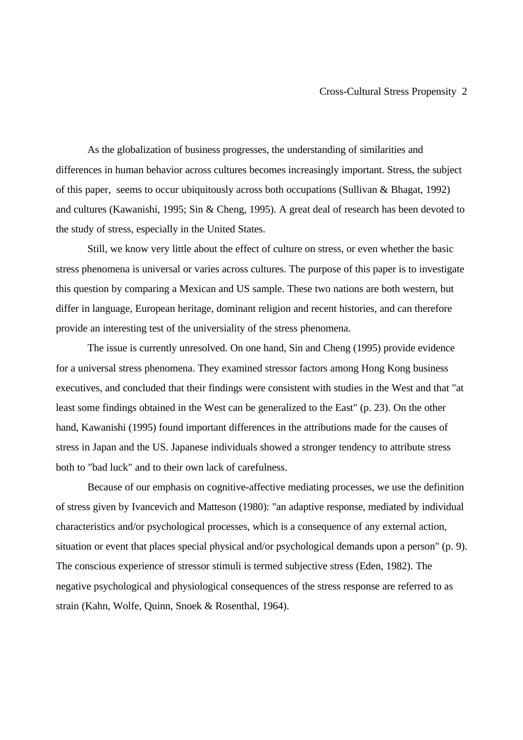As the globalization of business progresses, the understanding of similarities and differences in human behavior across cultures becomes increasingly important. Stress, the subject of this paper, seems to occur ubiquitously across both occupations (Sullivan & Bhagat, 1992) and cultures (Kawanishi, 1995; Sin & Cheng, 1995). A great deal of research has been devoted to the study of stress, especially in the United States.

Still, we know very little about the effect of culture on stress, or even whether the basic stress phenomena is universal or varies across cultures. The purpose of this paper is to investigate this question by comparing a Mexican and US sample. These two nations are both western, but differ in language, European heritage, dominant religion and recent histories, and can therefore provide an interesting test of the universiality of the stress phenomena.

The issue is currently unresolved. On one hand, Sin and Cheng (1995) provide evidence for a universal stress phenomena. They examined stressor factors among Hong Kong business executives, and concluded that their findings were consistent with studies in the West and that "at least some findings obtained in the West can be generalized to the East" (p. 23). On the other hand, Kawanishi (1995) found important differences in the attributions made for the causes of stress in Japan and the US. Japanese individuals showed a stronger tendency to attribute stress both to "bad luck" and to their own lack of carefulness.

Because of our emphasis on cognitive-affective mediating processes, we use the definition of stress given by Ivancevich and Matteson (1980): "an adaptive response, mediated by individual characteristics and/or psychological processes, which is a consequence of any external action, situation or event that places special physical and/or psychological demands upon a person" (p. 9). The conscious experience of stressor stimuli is termed subjective stress (Eden, 1982). The negative psychological and physiological consequences of the stress response are referred to as strain (Kahn, Wolfe, Quinn, Snoek & Rosenthal, 1964).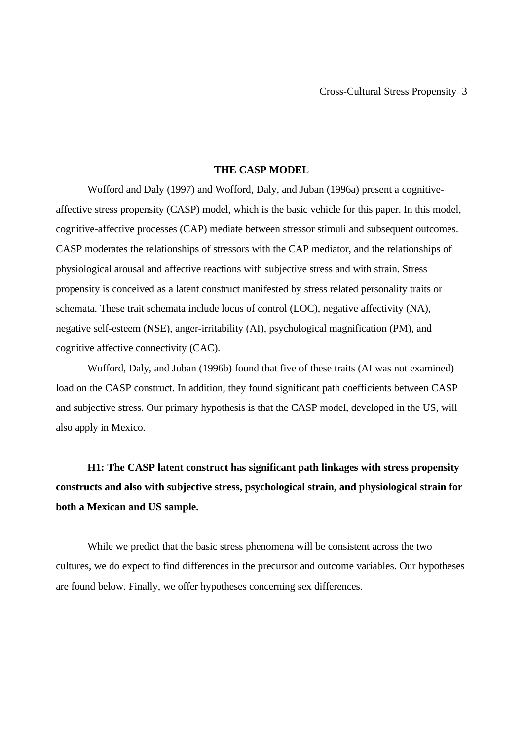### **THE CASP MODEL**

Wofford and Daly (1997) and Wofford, Daly, and Juban (1996a) present a cognitiveaffective stress propensity (CASP) model, which is the basic vehicle for this paper. In this model, cognitive-affective processes (CAP) mediate between stressor stimuli and subsequent outcomes. CASP moderates the relationships of stressors with the CAP mediator, and the relationships of physiological arousal and affective reactions with subjective stress and with strain. Stress propensity is conceived as a latent construct manifested by stress related personality traits or schemata. These trait schemata include locus of control (LOC), negative affectivity (NA), negative self-esteem (NSE), anger-irritability (AI), psychological magnification (PM), and cognitive affective connectivity (CAC).

Wofford, Daly, and Juban (1996b) found that five of these traits (AI was not examined) load on the CASP construct. In addition, they found significant path coefficients between CASP and subjective stress. Our primary hypothesis is that the CASP model, developed in the US, will also apply in Mexico.

**H1: The CASP latent construct has significant path linkages with stress propensity constructs and also with subjective stress, psychological strain, and physiological strain for both a Mexican and US sample.**

While we predict that the basic stress phenomena will be consistent across the two cultures, we do expect to find differences in the precursor and outcome variables. Our hypotheses are found below. Finally, we offer hypotheses concerning sex differences.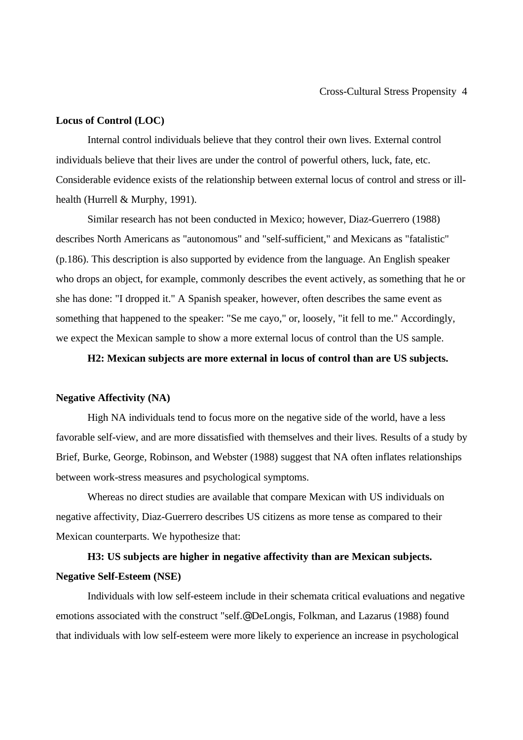### **Locus of Control (LOC)**

Internal control individuals believe that they control their own lives. External control individuals believe that their lives are under the control of powerful others, luck, fate, etc. Considerable evidence exists of the relationship between external locus of control and stress or illhealth (Hurrell & Murphy, 1991).

Similar research has not been conducted in Mexico; however, Diaz-Guerrero (1988) describes North Americans as "autonomous" and "self-sufficient," and Mexicans as "fatalistic" (p.186). This description is also supported by evidence from the language. An English speaker who drops an object, for example, commonly describes the event actively, as something that he or she has done: "I dropped it." A Spanish speaker, however, often describes the same event as something that happened to the speaker: "Se me cayo," or, loosely, "it fell to me." Accordingly, we expect the Mexican sample to show a more external locus of control than the US sample.

### **H2: Mexican subjects are more external in locus of control than are US subjects.**

#### **Negative Affectivity (NA)**

High NA individuals tend to focus more on the negative side of the world, have a less favorable self-view, and are more dissatisfied with themselves and their lives. Results of a study by Brief, Burke, George, Robinson, and Webster (1988) suggest that NA often inflates relationships between work-stress measures and psychological symptoms.

Whereas no direct studies are available that compare Mexican with US individuals on negative affectivity, Diaz-Guerrero describes US citizens as more tense as compared to their Mexican counterparts. We hypothesize that:

# **H3: US subjects are higher in negative affectivity than are Mexican subjects. Negative Self-Esteem (NSE)**

Individuals with low self-esteem include in their schemata critical evaluations and negative emotions associated with the construct "self.@ DeLongis, Folkman, and Lazarus (1988) found that individuals with low self-esteem were more likely to experience an increase in psychological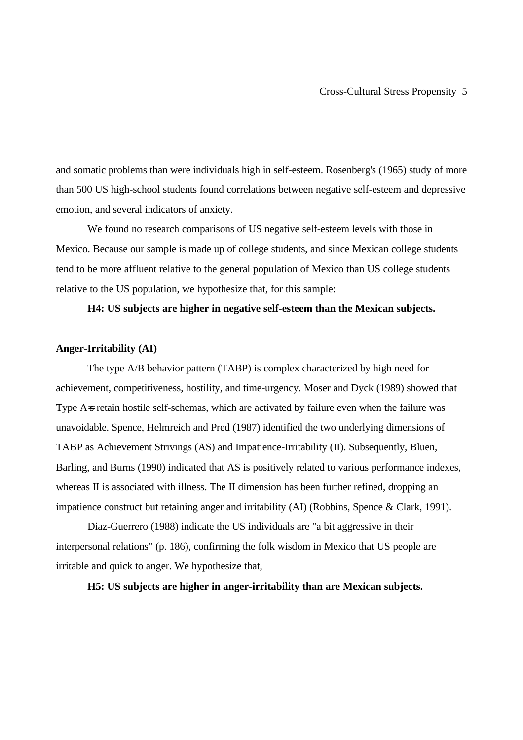and somatic problems than were individuals high in self-esteem. Rosenberg's (1965) study of more than 500 US high-school students found correlations between negative self-esteem and depressive emotion, and several indicators of anxiety.

We found no research comparisons of US negative self-esteem levels with those in Mexico. Because our sample is made up of college students, and since Mexican college students tend to be more affluent relative to the general population of Mexico than US college students relative to the US population, we hypothesize that, for this sample:

### **H4: US subjects are higher in negative self-esteem than the Mexican subjects.**

### **Anger-Irritability (AI)**

The type A/B behavior pattern (TABP) is complex characterized by high need for achievement, competitiveness, hostility, and time-urgency. Moser and Dyck (1989) showed that Type A=s retain hostile self-schemas, which are activated by failure even when the failure was unavoidable. Spence, Helmreich and Pred (1987) identified the two underlying dimensions of TABP as Achievement Strivings (AS) and Impatience-Irritability (II). Subsequently, Bluen, Barling, and Burns (1990) indicated that AS is positively related to various performance indexes, whereas II is associated with illness. The II dimension has been further refined, dropping an impatience construct but retaining anger and irritability (AI) (Robbins, Spence & Clark, 1991).

Diaz-Guerrero (1988) indicate the US individuals are "a bit aggressive in their interpersonal relations" (p. 186), confirming the folk wisdom in Mexico that US people are irritable and quick to anger. We hypothesize that,

**H5: US subjects are higher in anger-irritability than are Mexican subjects.**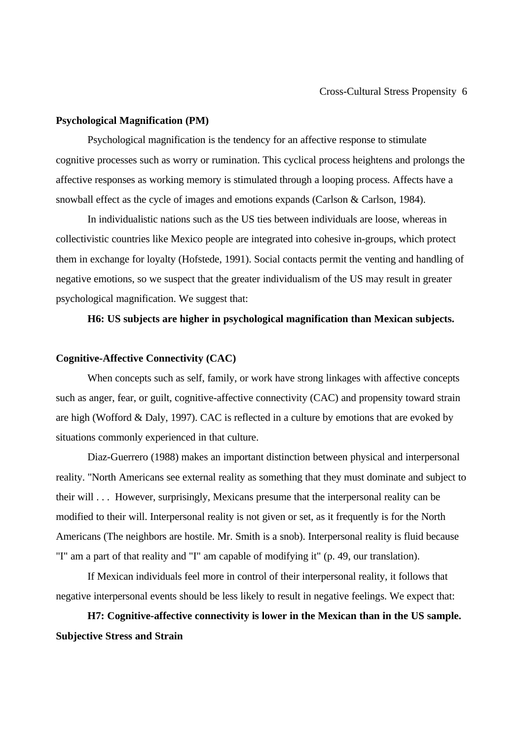### **Psychological Magnification (PM)**

Psychological magnification is the tendency for an affective response to stimulate cognitive processes such as worry or rumination. This cyclical process heightens and prolongs the affective responses as working memory is stimulated through a looping process. Affects have a snowball effect as the cycle of images and emotions expands (Carlson & Carlson, 1984).

In individualistic nations such as the US ties between individuals are loose, whereas in collectivistic countries like Mexico people are integrated into cohesive in-groups, which protect them in exchange for loyalty (Hofstede, 1991). Social contacts permit the venting and handling of negative emotions, so we suspect that the greater individualism of the US may result in greater psychological magnification. We suggest that:

### **H6: US subjects are higher in psychological magnification than Mexican subjects.**

### **Cognitive-Affective Connectivity (CAC)**

When concepts such as self, family, or work have strong linkages with affective concepts such as anger, fear, or guilt, cognitive-affective connectivity (CAC) and propensity toward strain are high (Wofford & Daly, 1997). CAC is reflected in a culture by emotions that are evoked by situations commonly experienced in that culture.

Diaz-Guerrero (1988) makes an important distinction between physical and interpersonal reality. "North Americans see external reality as something that they must dominate and subject to their will . . . However, surprisingly, Mexicans presume that the interpersonal reality can be modified to their will. Interpersonal reality is not given or set, as it frequently is for the North Americans (The neighbors are hostile. Mr. Smith is a snob). Interpersonal reality is fluid because "I" am a part of that reality and "I" am capable of modifying it" (p. 49, our translation).

If Mexican individuals feel more in control of their interpersonal reality, it follows that negative interpersonal events should be less likely to result in negative feelings. We expect that:

**H7: Cognitive-affective connectivity is lower in the Mexican than in the US sample. Subjective Stress and Strain**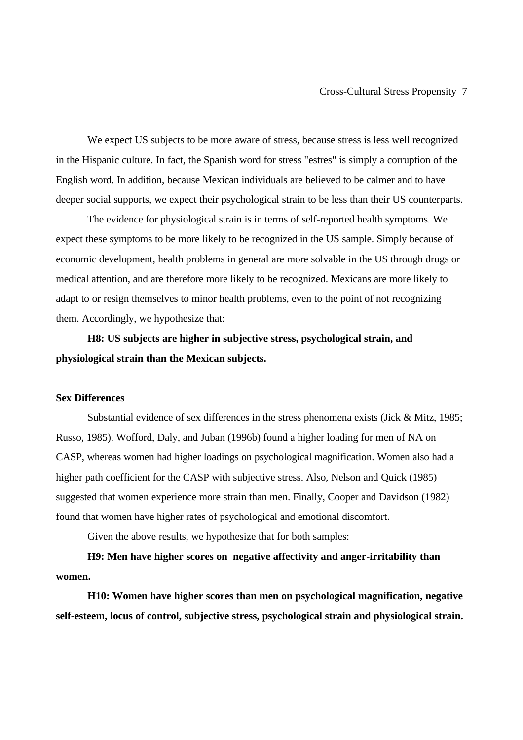We expect US subjects to be more aware of stress, because stress is less well recognized in the Hispanic culture. In fact, the Spanish word for stress "estres" is simply a corruption of the English word. In addition, because Mexican individuals are believed to be calmer and to have deeper social supports, we expect their psychological strain to be less than their US counterparts.

The evidence for physiological strain is in terms of self-reported health symptoms. We expect these symptoms to be more likely to be recognized in the US sample. Simply because of economic development, health problems in general are more solvable in the US through drugs or medical attention, and are therefore more likely to be recognized. Mexicans are more likely to adapt to or resign themselves to minor health problems, even to the point of not recognizing them. Accordingly, we hypothesize that:

# **H8: US subjects are higher in subjective stress, psychological strain, and physiological strain than the Mexican subjects.**

#### **Sex Differences**

Substantial evidence of sex differences in the stress phenomena exists (Jick & Mitz, 1985; Russo, 1985). Wofford, Daly, and Juban (1996b) found a higher loading for men of NA on CASP, whereas women had higher loadings on psychological magnification. Women also had a higher path coefficient for the CASP with subjective stress. Also, Nelson and Quick (1985) suggested that women experience more strain than men. Finally, Cooper and Davidson (1982) found that women have higher rates of psychological and emotional discomfort.

Given the above results, we hypothesize that for both samples:

**H9: Men have higher scores on negative affectivity and anger-irritability than women.**

**H10: Women have higher scores than men on psychological magnification, negative self-esteem, locus of control, subjective stress, psychological strain and physiological strain.**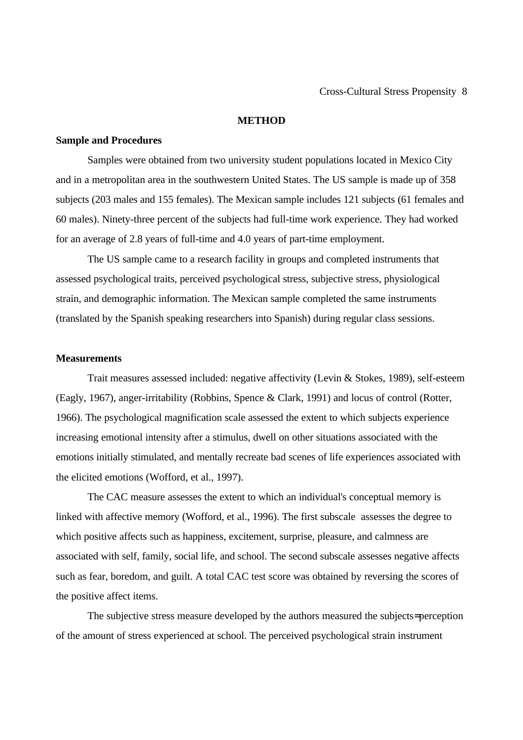### **METHOD**

### **Sample and Procedures**

Samples were obtained from two university student populations located in Mexico City and in a metropolitan area in the southwestern United States. The US sample is made up of 358 subjects (203 males and 155 females). The Mexican sample includes 121 subjects (61 females and 60 males). Ninety-three percent of the subjects had full-time work experience. They had worked for an average of 2.8 years of full-time and 4.0 years of part-time employment.

The US sample came to a research facility in groups and completed instruments that assessed psychological traits, perceived psychological stress, subjective stress, physiological strain, and demographic information. The Mexican sample completed the same instruments (translated by the Spanish speaking researchers into Spanish) during regular class sessions.

#### **Measurements**

Trait measures assessed included: negative affectivity (Levin & Stokes, 1989), self-esteem (Eagly, 1967), anger-irritability (Robbins, Spence & Clark, 1991) and locus of control (Rotter, 1966). The psychological magnification scale assessed the extent to which subjects experience increasing emotional intensity after a stimulus, dwell on other situations associated with the emotions initially stimulated, and mentally recreate bad scenes of life experiences associated with the elicited emotions (Wofford, et al., 1997).

The CAC measure assesses the extent to which an individual's conceptual memory is linked with affective memory (Wofford, et al., 1996). The first subscale assesses the degree to which positive affects such as happiness, excitement, surprise, pleasure, and calmness are associated with self, family, social life, and school. The second subscale assesses negative affects such as fear, boredom, and guilt. A total CAC test score was obtained by reversing the scores of the positive affect items.

The subjective stress measure developed by the authors measured the subjects= perception of the amount of stress experienced at school. The perceived psychological strain instrument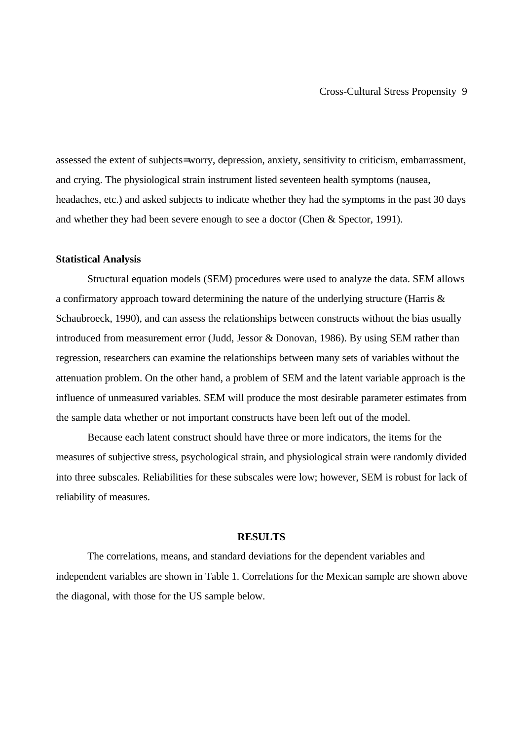assessed the extent of subjects= worry, depression, anxiety, sensitivity to criticism, embarrassment, and crying. The physiological strain instrument listed seventeen health symptoms (nausea, headaches, etc.) and asked subjects to indicate whether they had the symptoms in the past 30 days and whether they had been severe enough to see a doctor (Chen & Spector, 1991).

### **Statistical Analysis**

Structural equation models (SEM) procedures were used to analyze the data. SEM allows a confirmatory approach toward determining the nature of the underlying structure (Harris & Schaubroeck, 1990), and can assess the relationships between constructs without the bias usually introduced from measurement error (Judd, Jessor & Donovan, 1986). By using SEM rather than regression, researchers can examine the relationships between many sets of variables without the attenuation problem. On the other hand, a problem of SEM and the latent variable approach is the influence of unmeasured variables. SEM will produce the most desirable parameter estimates from the sample data whether or not important constructs have been left out of the model.

Because each latent construct should have three or more indicators, the items for the measures of subjective stress, psychological strain, and physiological strain were randomly divided into three subscales. Reliabilities for these subscales were low; however, SEM is robust for lack of reliability of measures.

### **RESULTS**

The correlations, means, and standard deviations for the dependent variables and independent variables are shown in Table 1. Correlations for the Mexican sample are shown above the diagonal, with those for the US sample below.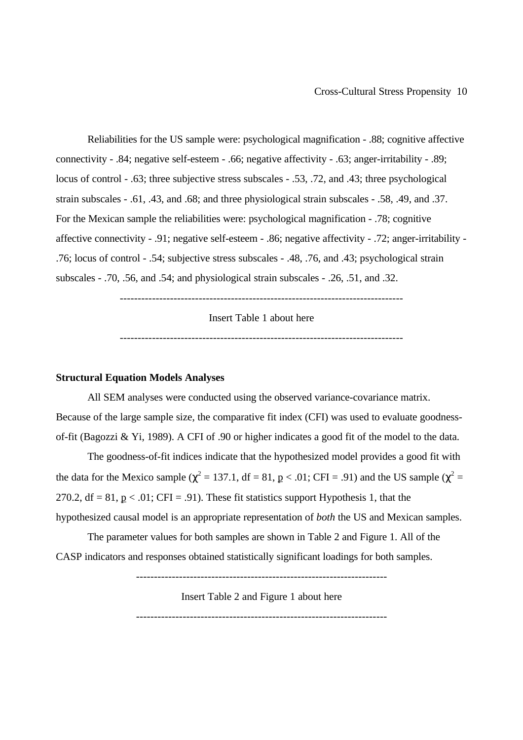Reliabilities for the US sample were: psychological magnification - .88; cognitive affective connectivity - .84; negative self-esteem - .66; negative affectivity - .63; anger-irritability - .89; locus of control - .63; three subjective stress subscales - .53, .72, and .43; three psychological strain subscales - .61, .43, and .68; and three physiological strain subscales - .58, .49, and .37. For the Mexican sample the reliabilities were: psychological magnification - .78; cognitive affective connectivity - .91; negative self-esteem - .86; negative affectivity - .72; anger-irritability - .76; locus of control - .54; subjective stress subscales - .48, .76, and .43; psychological strain subscales - .70, .56, and .54; and physiological strain subscales - .26, .51, and .32.

-------------------------------------------------------------------------------

Insert Table 1 about here

-------------------------------------------------------------------------------

#### **Structural Equation Models Analyses**

All SEM analyses were conducted using the observed variance-covariance matrix. Because of the large sample size, the comparative fit index (CFI) was used to evaluate goodnessof-fit (Bagozzi & Yi, 1989). A CFI of .90 or higher indicates a good fit of the model to the data.

The goodness-of-fit indices indicate that the hypothesized model provides a good fit with the data for the Mexico sample ( $\chi^2 = 137.1$ , df = 81, p < .01; CFI = .91) and the US sample ( $\chi^2 =$ 270.2,  $df = 81$ ,  $p < .01$ ; CFI = .91). These fit statistics support Hypothesis 1, that the hypothesized causal model is an appropriate representation of *both* the US and Mexican samples.

The parameter values for both samples are shown in Table 2 and Figure 1. All of the CASP indicators and responses obtained statistically significant loadings for both samples.

----------------------------------------------------------------------

Insert Table 2 and Figure 1 about here

----------------------------------------------------------------------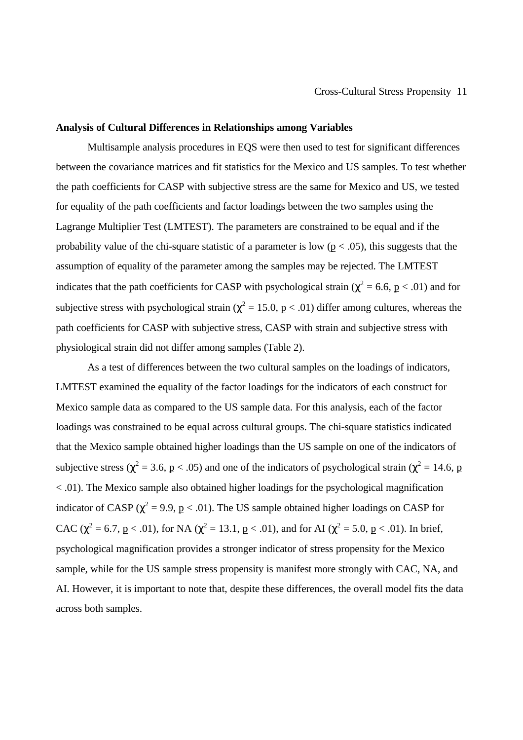#### **Analysis of Cultural Differences in Relationships among Variables**

Multisample analysis procedures in EQS were then used to test for significant differences between the covariance matrices and fit statistics for the Mexico and US samples. To test whether the path coefficients for CASP with subjective stress are the same for Mexico and US, we tested for equality of the path coefficients and factor loadings between the two samples using the Lagrange Multiplier Test (LMTEST). The parameters are constrained to be equal and if the probability value of the chi-square statistic of a parameter is low ( $p < .05$ ), this suggests that the assumption of equality of the parameter among the samples may be rejected. The LMTEST indicates that the path coefficients for CASP with psychological strain ( $\chi^2$  = 6.6, p < .01) and for subjective stress with psychological strain ( $\chi^2$  = 15.0, p < .01) differ among cultures, whereas the path coefficients for CASP with subjective stress, CASP with strain and subjective stress with physiological strain did not differ among samples (Table 2).

As a test of differences between the two cultural samples on the loadings of indicators, LMTEST examined the equality of the factor loadings for the indicators of each construct for Mexico sample data as compared to the US sample data. For this analysis, each of the factor loadings was constrained to be equal across cultural groups. The chi-square statistics indicated that the Mexico sample obtained higher loadings than the US sample on one of the indicators of subjective stress ( $\chi^2$  = 3.6, p < .05) and one of the indicators of psychological strain ( $\chi^2$  = 14.6, p < .01). The Mexico sample also obtained higher loadings for the psychological magnification indicator of CASP ( $\chi^2$  = 9.9, p < .01). The US sample obtained higher loadings on CASP for CAC ( $\chi^2 = 6.7$ ,  $p < .01$ ), for NA ( $\chi^2 = 13.1$ ,  $p < .01$ ), and for AI ( $\chi^2 = 5.0$ ,  $p < .01$ ). In brief, psychological magnification provides a stronger indicator of stress propensity for the Mexico sample, while for the US sample stress propensity is manifest more strongly with CAC, NA, and AI. However, it is important to note that, despite these differences, the overall model fits the data across both samples.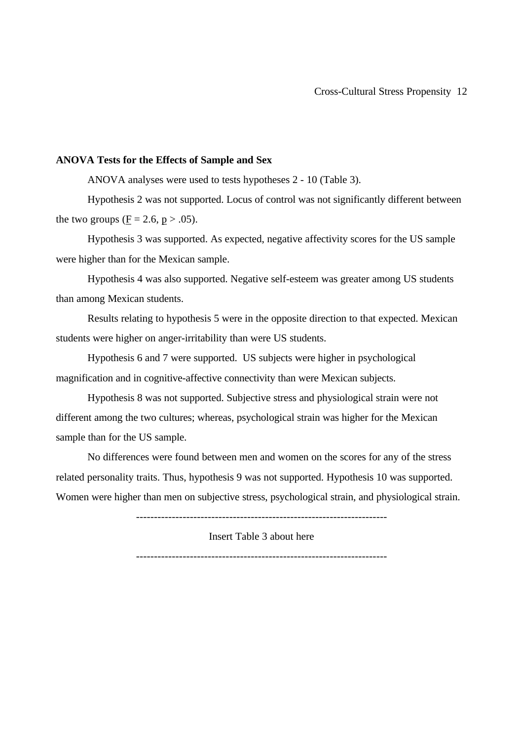### **ANOVA Tests for the Effects of Sample and Sex**

ANOVA analyses were used to tests hypotheses 2 - 10 (Table 3).

Hypothesis 2 was not supported. Locus of control was not significantly different between the two groups ( $\underline{F} = 2.6$ ,  $p > .05$ ).

Hypothesis 3 was supported. As expected, negative affectivity scores for the US sample were higher than for the Mexican sample.

Hypothesis 4 was also supported. Negative self-esteem was greater among US students than among Mexican students.

Results relating to hypothesis 5 were in the opposite direction to that expected. Mexican students were higher on anger-irritability than were US students.

Hypothesis 6 and 7 were supported. US subjects were higher in psychological magnification and in cognitive-affective connectivity than were Mexican subjects.

Hypothesis 8 was not supported. Subjective stress and physiological strain were not different among the two cultures; whereas, psychological strain was higher for the Mexican sample than for the US sample.

No differences were found between men and women on the scores for any of the stress related personality traits. Thus, hypothesis 9 was not supported. Hypothesis 10 was supported. Women were higher than men on subjective stress, psychological strain, and physiological strain.

----------------------------------------------------------------------

Insert Table 3 about here

----------------------------------------------------------------------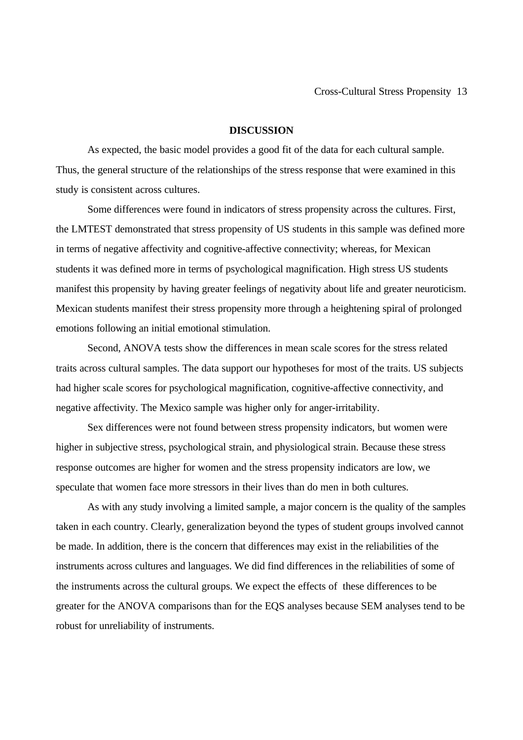### **DISCUSSION**

As expected, the basic model provides a good fit of the data for each cultural sample. Thus, the general structure of the relationships of the stress response that were examined in this study is consistent across cultures.

Some differences were found in indicators of stress propensity across the cultures. First, the LMTEST demonstrated that stress propensity of US students in this sample was defined more in terms of negative affectivity and cognitive-affective connectivity; whereas, for Mexican students it was defined more in terms of psychological magnification. High stress US students manifest this propensity by having greater feelings of negativity about life and greater neuroticism. Mexican students manifest their stress propensity more through a heightening spiral of prolonged emotions following an initial emotional stimulation.

Second, ANOVA tests show the differences in mean scale scores for the stress related traits across cultural samples. The data support our hypotheses for most of the traits. US subjects had higher scale scores for psychological magnification, cognitive-affective connectivity, and negative affectivity. The Mexico sample was higher only for anger-irritability.

Sex differences were not found between stress propensity indicators, but women were higher in subjective stress, psychological strain, and physiological strain. Because these stress response outcomes are higher for women and the stress propensity indicators are low, we speculate that women face more stressors in their lives than do men in both cultures.

As with any study involving a limited sample, a major concern is the quality of the samples taken in each country. Clearly, generalization beyond the types of student groups involved cannot be made. In addition, there is the concern that differences may exist in the reliabilities of the instruments across cultures and languages. We did find differences in the reliabilities of some of the instruments across the cultural groups. We expect the effects of these differences to be greater for the ANOVA comparisons than for the EQS analyses because SEM analyses tend to be robust for unreliability of instruments.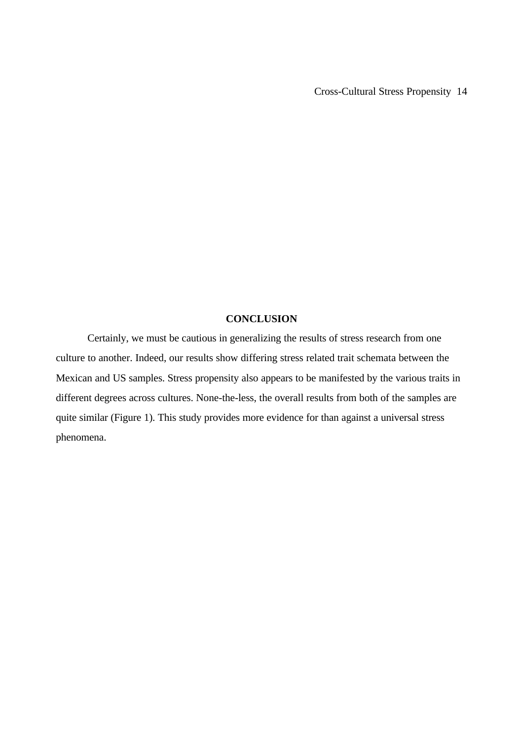### **CONCLUSION**

Certainly, we must be cautious in generalizing the results of stress research from one culture to another. Indeed, our results show differing stress related trait schemata between the Mexican and US samples. Stress propensity also appears to be manifested by the various traits in different degrees across cultures. None-the-less, the overall results from both of the samples are quite similar (Figure 1). This study provides more evidence for than against a universal stress phenomena.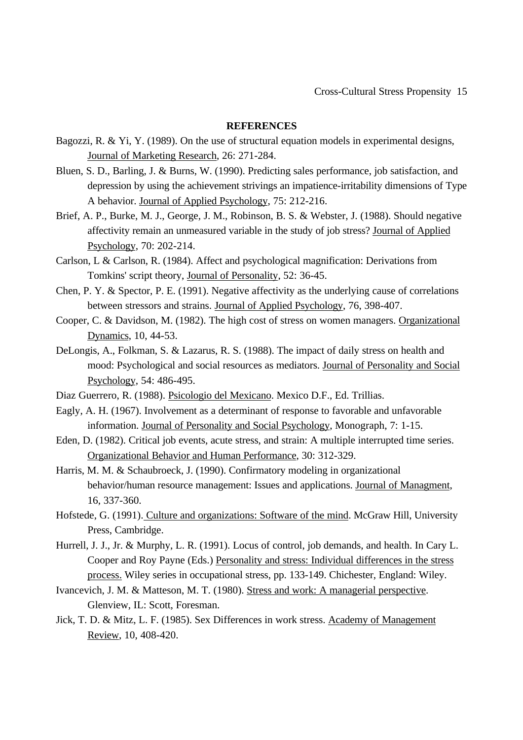### **REFERENCES**

- Bagozzi, R. & Yi, Y. (1989). On the use of structural equation models in experimental designs, Journal of Marketing Research, 26: 271-284.
- Bluen, S. D., Barling, J. & Burns, W. (1990). Predicting sales performance, job satisfaction, and depression by using the achievement strivings an impatience-irritability dimensions of Type A behavior. Journal of Applied Psychology, 75: 212-216.
- Brief, A. P., Burke, M. J., George, J. M., Robinson, B. S. & Webster, J. (1988). Should negative affectivity remain an unmeasured variable in the study of job stress? Journal of Applied Psychology, 70: 202-214.
- Carlson, L & Carlson, R. (1984). Affect and psychological magnification: Derivations from Tomkins' script theory, Journal of Personality, 52: 36-45.
- Chen, P. Y. & Spector, P. E. (1991). Negative affectivity as the underlying cause of correlations between stressors and strains. Journal of Applied Psychology, 76, 398-407.
- Cooper, C. & Davidson, M. (1982). The high cost of stress on women managers. Organizational Dynamics, 10, 44-53.
- DeLongis, A., Folkman, S. & Lazarus, R. S. (1988). The impact of daily stress on health and mood: Psychological and social resources as mediators. Journal of Personality and Social Psychology, 54: 486-495.
- Diaz Guerrero, R. (1988). Psicologio del Mexicano. Mexico D.F., Ed. Trillias.
- Eagly, A. H. (1967). Involvement as a determinant of response to favorable and unfavorable information. Journal of Personality and Social Psychology, Monograph, 7: 1-15.
- Eden, D. (1982). Critical job events, acute stress, and strain: A multiple interrupted time series. Organizational Behavior and Human Performance, 30: 312-329.
- Harris, M. M. & Schaubroeck, J. (1990). Confirmatory modeling in organizational behavior/human resource management: Issues and applications. Journal of Managment, 16, 337-360.
- Hofstede, G. (1991). Culture and organizations: Software of the mind. McGraw Hill, University Press, Cambridge.
- Hurrell, J. J., Jr. & Murphy, L. R. (1991). Locus of control, job demands, and health. In Cary L. Cooper and Roy Payne (Eds.) Personality and stress: Individual differences in the stress process. Wiley series in occupational stress, pp. 133-149. Chichester, England: Wiley.
- Ivancevich, J. M. & Matteson, M. T. (1980). Stress and work: A managerial perspective. Glenview, IL: Scott, Foresman.
- Jick, T. D. & Mitz, L. F. (1985). Sex Differences in work stress. Academy of Management Review, 10, 408-420.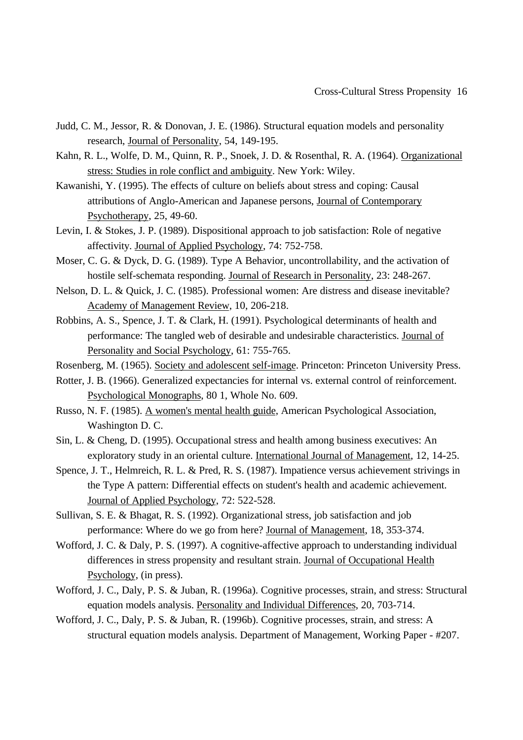- Judd, C. M., Jessor, R. & Donovan, J. E. (1986). Structural equation models and personality research, Journal of Personality, 54, 149-195.
- Kahn, R. L., Wolfe, D. M., Quinn, R. P., Snoek, J. D. & Rosenthal, R. A. (1964). Organizational stress: Studies in role conflict and ambiguity. New York: Wiley.
- Kawanishi, Y. (1995). The effects of culture on beliefs about stress and coping: Causal attributions of Anglo-American and Japanese persons, Journal of Contemporary Psychotherapy, 25, 49-60.
- Levin, I. & Stokes, J. P. (1989). Dispositional approach to job satisfaction: Role of negative affectivity. Journal of Applied Psychology, 74: 752-758.
- Moser, C. G. & Dyck, D. G. (1989). Type A Behavior, uncontrollability, and the activation of hostile self-schemata responding. Journal of Research in Personality, 23: 248-267.
- Nelson, D. L. & Quick, J. C. (1985). Professional women: Are distress and disease inevitable? Academy of Management Review, 10, 206-218.
- Robbins, A. S., Spence, J. T. & Clark, H. (1991). Psychological determinants of health and performance: The tangled web of desirable and undesirable characteristics. Journal of Personality and Social Psychology, 61: 755-765.
- Rosenberg, M. (1965). Society and adolescent self-image. Princeton: Princeton University Press.
- Rotter, J. B. (1966). Generalized expectancies for internal vs. external control of reinforcement. Psychological Monographs, 80 1, Whole No. 609.
- Russo, N. F. (1985). A women's mental health guide, American Psychological Association, Washington D. C.
- Sin, L. & Cheng, D. (1995). Occupational stress and health among business executives: An exploratory study in an oriental culture. International Journal of Management, 12, 14-25.
- Spence, J. T., Helmreich, R. L. & Pred, R. S. (1987). Impatience versus achievement strivings in the Type A pattern: Differential effects on student's health and academic achievement. Journal of Applied Psychology, 72: 522-528.
- Sullivan, S. E. & Bhagat, R. S. (1992). Organizational stress, job satisfaction and job performance: Where do we go from here? Journal of Management, 18, 353-374.
- Wofford, J. C. & Daly, P. S. (1997). A cognitive-affective approach to understanding individual differences in stress propensity and resultant strain. Journal of Occupational Health Psychology, (in press).
- Wofford, J. C., Daly, P. S. & Juban, R. (1996a). Cognitive processes, strain, and stress: Structural equation models analysis. Personality and Individual Differences, 20, 703-714.
- Wofford, J. C., Daly, P. S. & Juban, R. (1996b). Cognitive processes, strain, and stress: A structural equation models analysis. Department of Management, Working Paper - #207.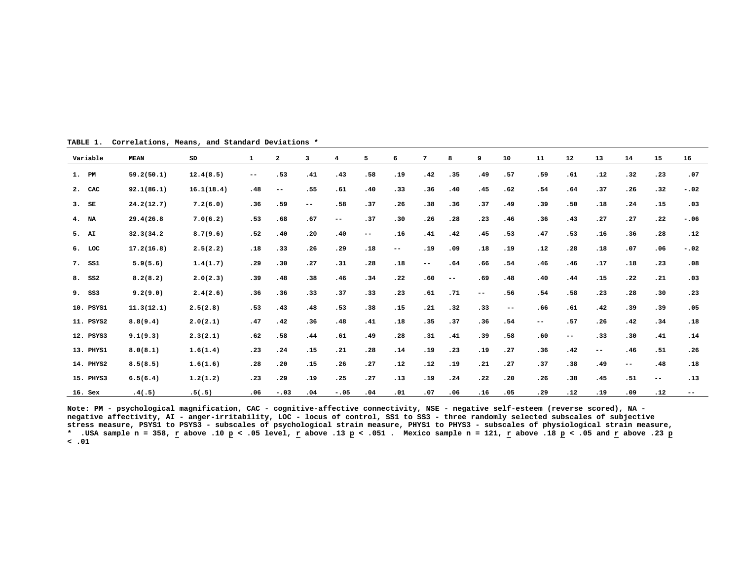| Variable  | <b>MEAN</b> | SD         | 1                        | $\overline{\mathbf{2}}$ | з                        | 4                        | 5                 | 6                        | 7    | 8                        | 9      | 10    | 11                | 12  | 13     | 14                | 15    | 16     |
|-----------|-------------|------------|--------------------------|-------------------------|--------------------------|--------------------------|-------------------|--------------------------|------|--------------------------|--------|-------|-------------------|-----|--------|-------------------|-------|--------|
| 1. PM     | 59.2(50.1)  | 12.4(8.5)  | $\overline{\phantom{m}}$ | .53                     | .41                      | .43                      | .58               | .19                      | .42  | .35                      | .49    | .57   | .59               | .61 | .12    | .32               | .23   | .07    |
| 2. CAC    | 92.1(86.1)  | 16.1(18.4) | .48                      | $\qquad \qquad -$       | .55                      | .61                      | .40               | .33                      | .36  | .40                      | .45    | .62   | .54               | .64 | .37    | .26               | .32   | $-.02$ |
| $3.$ SE   | 24.2(12.7)  | 7.2(6.0)   | .36                      | .59                     | $\overline{\phantom{a}}$ | .58                      | .37               | .26                      | .38  | .36                      | .37    | .49   | .39               | .50 | .18    | .24               | .15   | .03    |
| 4. NA     | 29.4(26.8   | 7.0(6.2)   | .53                      | .68                     | .67                      | $\overline{\phantom{a}}$ | .37               | .30                      | .26  | .28                      | .23    | .46   | .36               | .43 | .27    | .27               | .22   | $-.06$ |
| 5. AI     | 32.3(34.2)  | 8.7(9.6)   | .52                      | .40                     | .20                      | .40                      | $\qquad \qquad -$ | .16                      | .41  | .42                      | .45    | .53   | .47               | .53 | .16    | .36               | .28   | .12    |
| $6.$ LOC  | 17.2(16.8)  | 2.5(2.2)   | .18                      | .33                     | .26                      | .29                      | .18               | $\overline{\phantom{m}}$ | .19  | .09                      | .18    | .19   | .12               | .28 | .18    | .07               | .06   | $-.02$ |
| 7. SS1    | 5.9(5.6)    | 1.4(1.7)   | .29                      | .30                     | .27                      | .31                      | .28               | .18                      | $--$ | .64                      | .66    | .54   | .46               | .46 | .17    | .18               | .23   | .08    |
| 8. SS2    | 8.2(8.2)    | 2.0(2.3)   | .39                      | .48                     | .38                      | .46                      | .34               | .22                      | .60  | $\overline{\phantom{m}}$ | .69    | .48   | .40               | .44 | .15    | .22               | .21   | .03    |
| 9. SS3    | 9.2(9.0)    | 2.4(2.6)   | .36                      | .36                     | .33                      | .37                      | .33               | .23                      | .61  | .71                      | $-\,-$ | .56   | .54               | .58 | .23    | .28               | .30   | .23    |
| 10. PSYS1 | 11.3(12.1)  | 2.5(2.8)   | .53                      | .43                     | .48                      | .53                      | .38               | .15                      | .21  | .32                      | .33    | $- -$ | .66               | .61 | .42    | .39               | .39   | .05    |
| 11. PSYS2 | 8.8(9.4)    | 2.0(2.1)   | .47                      | .42                     | .36                      | .48                      | .41               | .18                      | .35  | .37                      | .36    | .54   | $\qquad \qquad -$ | .57 | .26    | .42               | .34   | .18    |
| 12. PSYS3 | 9.1(9.3)    | 2.3(2.1)   | .62                      | .58                     | .44                      | .61                      | .49               | .28                      | .31  | .41                      | .39    | .58   | .60               | --  | .33    | .30               | .41   | .14    |
| 13. PHYS1 | 8.0(8.1)    | 1.6(1.4)   | .23                      | .24                     | .15                      | .21                      | .28               | .14                      | .19  | .23                      | .19    | .27   | .36               | .42 | $-\,-$ | .46               | .51   | .26    |
| 14. PHYS2 | 8.5(8.5)    | 1.6(1.6)   | .28                      | .20                     | .15                      | .26                      | .27               | .12                      | .12  | .19                      | .21    | .27   | .37               | .38 | .49    | $\qquad \qquad -$ | .48   | .18    |
| 15. PHYS3 | 6.5(6.4)    | 1.2(1.2)   | .23                      | .29                     | .19                      | .25                      | .27               | .13                      | .19  | .24                      | .22    | .20   | .26               | .38 | .45    | .51               | $- -$ | .13    |
| $16.$ Sex | .4(.5)      | .5(.5)     | .06                      | $-.03$                  | .04                      | $-.05$                   | .04               | .01                      | .07  | .06                      | .16    | .05   | .29               | .12 | .19    | .09               | .12   | --     |

**TABLE 1. Correlations, Means, and Standard Deviations \***

**Note: PM - psychological magnification, CAC - cognitive-affective connectivity, NSE - negative self-esteem (reverse scored), NA negative affectivity, AI - anger-irritability, LOC - locus of control, SS1 to SS3 - three randomly selected subscales of subjective stress measure, PSYS1 to PSYS3 - subscales of psychological strain measure, PHYS1 to PHYS3 - subscales of physiological strain measure, \* .USA sample n = 358, r above .10 p < .05 level, r above .13 p < .051 . Mexico sample n = 121, r above .18 p < .05 and r above .23 p < .01**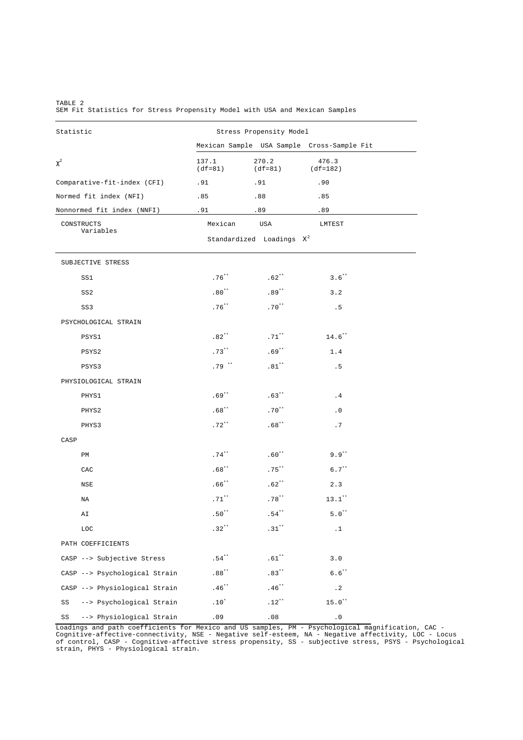| Statistic                      | Stress Propensity Model |                                                                                      |                                            |  |  |  |  |  |
|--------------------------------|-------------------------|--------------------------------------------------------------------------------------|--------------------------------------------|--|--|--|--|--|
|                                |                         |                                                                                      | Mexican Sample USA Sample Cross-Sample Fit |  |  |  |  |  |
| $\chi^2$                       | 137.1<br>$(df=81)$      | 270.2<br>$(df=81)$                                                                   | 476.3<br>$(df=182)$                        |  |  |  |  |  |
| Comparative-fit-index (CFI)    | .91                     | .91                                                                                  | .90                                        |  |  |  |  |  |
| Normed fit index (NFI)         | .85                     | .88                                                                                  | .85                                        |  |  |  |  |  |
| Nonnormed fit index (NNFI)     | .91                     | .89                                                                                  | .89                                        |  |  |  |  |  |
| CONSTRUCTS<br>Variables        | Mexican                 | USA                                                                                  | LMTEST                                     |  |  |  |  |  |
|                                |                         | Standardized Loadings $X^2$                                                          |                                            |  |  |  |  |  |
| SUBJECTIVE STRESS              |                         |                                                                                      |                                            |  |  |  |  |  |
| SS1                            | $.76***$                | $.62***$                                                                             | $3.6***$                                   |  |  |  |  |  |
| SS <sub>2</sub>                | $.80**$                 | $.89***$                                                                             | 3.2                                        |  |  |  |  |  |
| SS3                            | $.76***$                | $.70***$                                                                             | .5                                         |  |  |  |  |  |
| PSYCHOLOGICAL STRAIN           |                         |                                                                                      |                                            |  |  |  |  |  |
| PSYS1                          | $.82**$                 | $.71***$                                                                             | $14.6***$                                  |  |  |  |  |  |
| PSYS2                          | $.73***$                | $.69***$                                                                             | 1.4                                        |  |  |  |  |  |
| PSYS3                          | $.79***$                | $.81***$                                                                             | . 5                                        |  |  |  |  |  |
| PHYSIOLOGICAL STRAIN           |                         |                                                                                      |                                            |  |  |  |  |  |
| PHYS1                          | $.69***$                | $.63***$                                                                             | .4                                         |  |  |  |  |  |
| PHYS2                          | $.68***$                | $.70***$                                                                             | $\cdot$ 0                                  |  |  |  |  |  |
| PHYS3                          | $.72***$                | $.68***$                                                                             | .7                                         |  |  |  |  |  |
| CASP                           |                         |                                                                                      |                                            |  |  |  |  |  |
| PM                             | $.74***$                | $.60**$                                                                              | $9.9$ <sup>**</sup>                        |  |  |  |  |  |
| CAC                            | $.68**$                 | $.75***$                                                                             | $6.7***$                                   |  |  |  |  |  |
| NSE                            | $.66***$                | $.62***$                                                                             | 2.3                                        |  |  |  |  |  |
| ΝA                             | $.71***$                | $.78***$                                                                             | $13.1***$                                  |  |  |  |  |  |
| ΑI                             | $.50***$                | $\boldsymbol{\mathsf{.}}\, \boldsymbol{\mathsf{5}\, 4 \hspace{0.1in} }^{\star\star}$ | $5.0**$                                    |  |  |  |  |  |
| LOC                            | $.32$ <sup>**</sup>     | $.31***$                                                                             | $\cdot$ 1                                  |  |  |  |  |  |
| PATH COEFFICIENTS              |                         |                                                                                      |                                            |  |  |  |  |  |
| CASP --> Subjective Stress     | $.54***$                | $.61***$                                                                             | 3.0                                        |  |  |  |  |  |
| CASP --> Psychological Strain  | $.88***$                | $.83***$                                                                             | $6.6***$                                   |  |  |  |  |  |
| CASP --> Physiological Strain  | $.46***$                | $.46$ $^{\star\star}$                                                                | $\cdot$ 2                                  |  |  |  |  |  |
| --> Psychological Strain<br>SS | $.10^{\star}$           | $.12***$                                                                             | $15.0***$                                  |  |  |  |  |  |
| --> Physiological Strain<br>SS | .09                     | .08                                                                                  | $\cdot$ 0                                  |  |  |  |  |  |

TABLE 2 SEM Fit Statistics for Stress Propensity Model with USA and Mexican Samples

Loadings and path coefficients for Mexico and US samples, PM - Psychological magnification, CAC -<br>Cognitive-affective-connectivity, NSE - Negative self-esteem, NA - Negative affectivity, LOC - Locus<br>of control, CASP - Cogn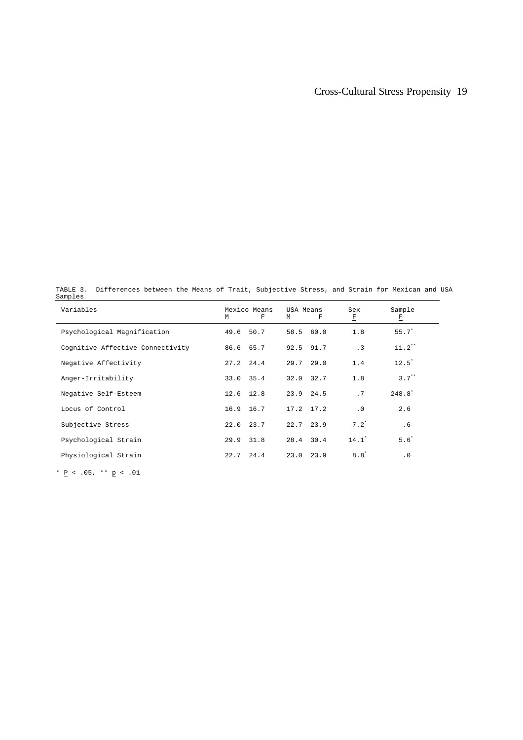## Cross-Cultural Stress Propensity 19

TABLE 3. Differences between the Means of Trait, Subjective Stress, and Strain for Mexican and USA Samples

| Variables                        | M | Mexico Means<br>F | USA Means<br>M | F             | Sex<br>F  | Sample<br>E |
|----------------------------------|---|-------------------|----------------|---------------|-----------|-------------|
| Psychological Magnification      |   | 49.6 50.7         |                | 58.5 60.0     | 1.8       | $55.7*$     |
| Cognitive-Affective Connectivity |   | 86.6 65.7         |                | 92.5 91.7     | $\cdot$ 3 | $11.2$ **   |
| Negative Affectivity             |   | $27.2$ $24.4$     |                | $29.7$ 29.0   | 1.4       | $12.5^*$    |
| Anger-Irritability               |   | 33.0 35.4         |                | 32.0 32.7     | 1.8       | $3.7***$    |
| Negative Self-Esteem             |   | $12.6$ $12.8$     |                | $23.9$ $24.5$ | .7        | $248.8^{*}$ |
| Locus of Control                 |   | 16.9 16.7         |                | $17.2$ $17.2$ | $\cdot$ 0 | 2.6         |
| Subjective Stress                |   | $22.0$ $23.7$     |                | $22.7$ $23.9$ | $7.2^*$   | .6          |
| Psychological Strain             |   | 29.9 31.8         |                | $28.4$ 30.4   | $14.1*$   | $5.6*$      |
| Physiological Strain             |   | $22.7$ $24.4$     |                | $23.0$ $23.9$ | $8.8^*$   | $\cdot$ 0   |

\* <u>P</u> < .05, \*\* <u>p</u> < .01